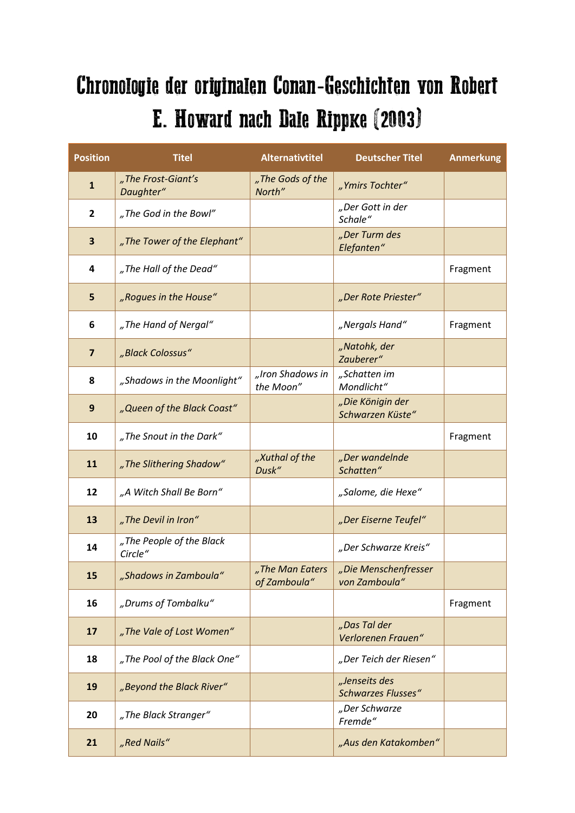## Chronologie der originalen Conan-Geschichten von Robert E. Howard nach Dale Rippke (2003)

| <b>Position</b> | <b>Titel</b>                        | <b>Alternativtitel</b>          | <b>Deutscher Titel</b>                     | <b>Anmerkung</b> |
|-----------------|-------------------------------------|---------------------------------|--------------------------------------------|------------------|
| $\mathbf{1}$    | "The Frost-Giant's<br>Daughter"     | "The Gods of the<br>North"      | "Ymirs Tochter"                            |                  |
| $\mathbf{2}$    | "The God in the Bowl"               |                                 | "Der Gott in der<br>Schale"                |                  |
| 3               | "The Tower of the Elephant"         |                                 | "Der Turm des<br>Elefanten"                |                  |
| 4               | "The Hall of the Dead"              |                                 |                                            | Fragment         |
| 5               | "Rogues in the House"               |                                 | "Der Rote Priester"                        |                  |
| 6               | "The Hand of Nergal"                |                                 | "Nergals Hand"                             | Fragment         |
| $\overline{7}$  | "Black Colossus"                    |                                 | "Natohk, der<br>Zauberer"                  |                  |
| 8               | "Shadows in the Moonlight"          | "Iron Shadows in<br>the Moon"   | "Schatten im<br>Mondlicht"                 |                  |
| 9               | "Queen of the Black Coast"          |                                 | "Die Königin der<br>Schwarzen Küste"       |                  |
| 10              | "The Snout in the Dark"             |                                 |                                            | Fragment         |
| 11              | "The Slithering Shadow"             | "Xuthal of the<br>Dusk"         | "Der wandelnde<br>Schatten"                |                  |
| 12              | "A Witch Shall Be Born"             |                                 | "Salome, die Hexe"                         |                  |
| 13              | "The Devil in Iron"                 |                                 | "Der Eiserne Teufel"                       |                  |
| 14              | "The People of the Black<br>Circle" |                                 | "Der Schwarze Kreis"                       |                  |
| 15              | "Shadows in Zamboula"               | "The Man Eaters<br>of Zamboula" | "Die Menschenfresser<br>von Zamboula"      |                  |
| 16              | "Drums of Tombalku"                 |                                 |                                            | Fragment         |
| 17              | "The Vale of Lost Women"            |                                 | "Das Tal der<br>Verlorenen Frauen"         |                  |
| 18              | "The Pool of the Black One"         |                                 | "Der Teich der Riesen"                     |                  |
| 19              | "Beyond the Black River"            |                                 | "Jenseits des<br><b>Schwarzes Flusses"</b> |                  |
| 20              | "The Black Stranger"                |                                 | "Der Schwarze<br>Fremde"                   |                  |
| 21              | "Red Nails"                         |                                 | "Aus den Katakomben"                       |                  |